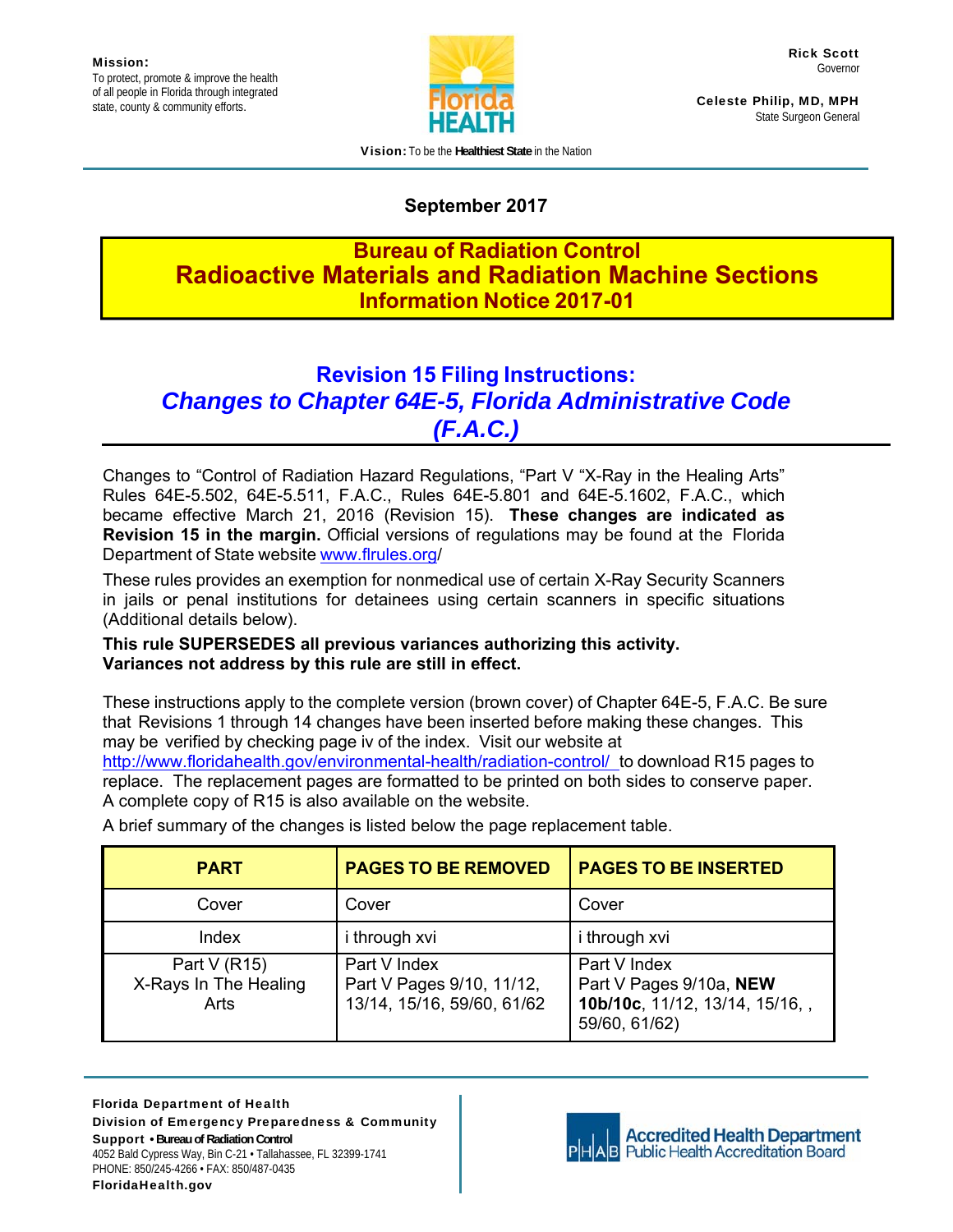

Celeste Philip, MD, MPH State Surgeon General

Vision**:** To be the **Healthiest State** in the Nation

## **September 2017**

## **Bureau of Radiation Control Radioactive Materials and Radiation Machine Sections Information Notice 2017-01**

# **Revision 15 Filing Instructions:** *Changes to Chapter 64E-5, Florida Administrative Code (F.A.C.)*

Changes to "Control of Radiation Hazard Regulations, "Part V "X-Ray in the Healing Arts" Rules 64E-5.502, 64E-5.511, F.A.C., Rules 64E-5.801 and 64E-5.1602, F.A.C., which became effective March 21, 2016 (Revision 15). **These changes are indicated as Revision 15 in the margin.** Official versions of regulations may be found at the Florida Department of State website www.flrules.org/

These rules provides an exemption for nonmedical use of certain X-Ray Security Scanners in jails or penal institutions for detainees using certain scanners in specific situations (Additional details below).

### **This rule SUPERSEDES all previous variances authorizing this activity. Variances not address by this rule are still in effect.**

These instructions apply to the complete version (brown cover) of Chapter 64E-5, F.A.C. Be sure that Revisions 1 through 14 changes have been inserted before making these changes. This may be verified by checking page iv of the index. Visit our website at

http://www.floridahealth.gov/environmental-health/radiation-control/ to download R15 pages to replace. The replacement pages are formatted to be printed on both sides to conserve paper. A complete copy of R15 is also available on the website.

| <b>PART</b>                                    | <b>PAGES TO BE REMOVED</b>                                              | <b>PAGES TO BE INSERTED</b>                                                                 |
|------------------------------------------------|-------------------------------------------------------------------------|---------------------------------------------------------------------------------------------|
| Cover                                          | Cover                                                                   | Cover                                                                                       |
| Index                                          | i through xvi                                                           | <i>i</i> through xvi                                                                        |
| Part $V(R15)$<br>X-Rays In The Healing<br>Arts | Part V Index<br>Part V Pages 9/10, 11/12,<br>13/14, 15/16, 59/60, 61/62 | Part V Index<br>Part V Pages 9/10a, NEW<br>10b/10c, 11/12, 13/14, 15/16, ,<br>59/60, 61/62) |

A brief summary of the changes is listed below the page replacement table.

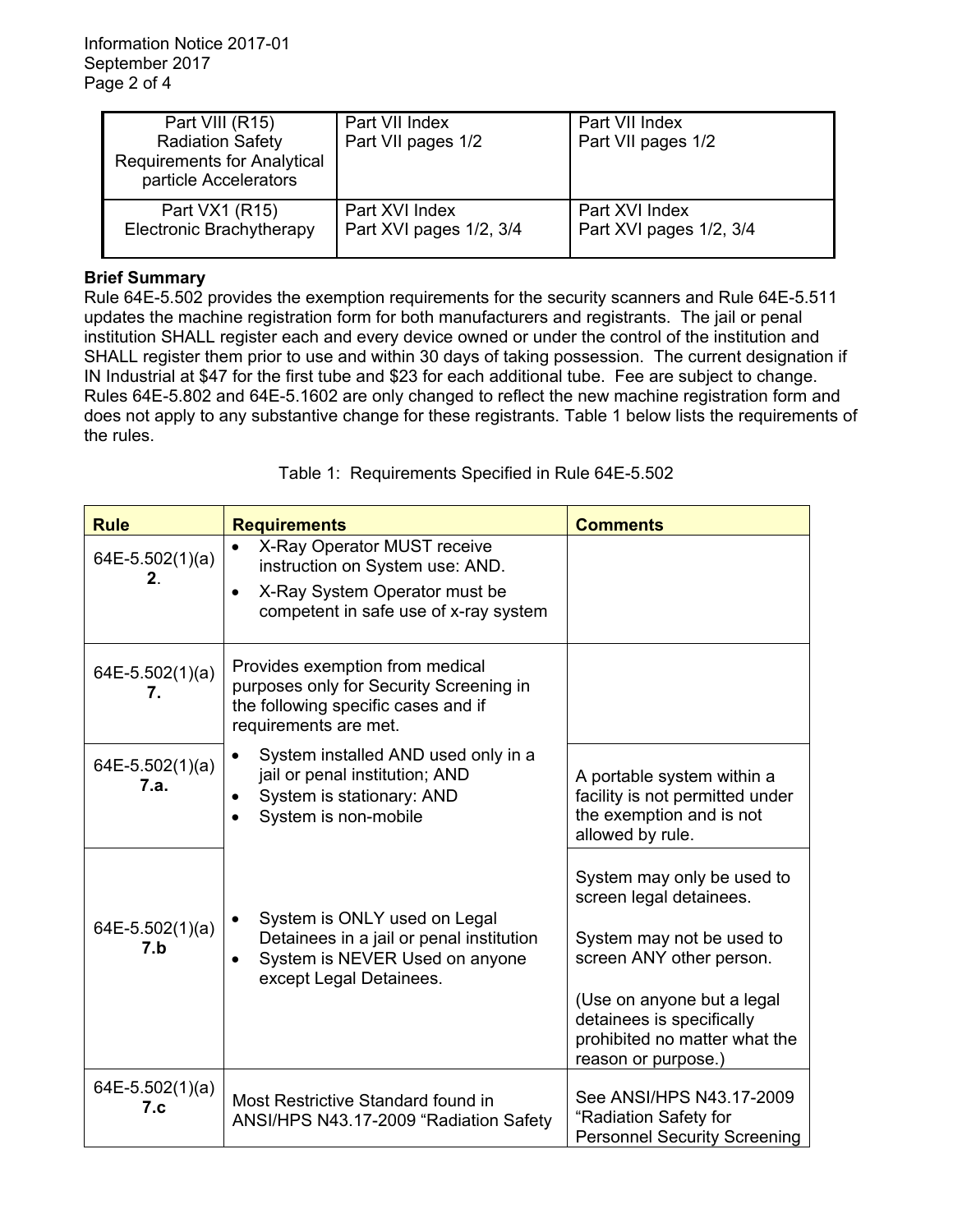| Part VIII (R15)<br><b>Radiation Safety</b><br><b>Requirements for Analytical</b><br>particle Accelerators | Part VII Index<br>Part VII pages 1/2 | Part VII Index<br>Part VII pages 1/2 |
|-----------------------------------------------------------------------------------------------------------|--------------------------------------|--------------------------------------|
| Part VX1 (R15)                                                                                            | Part XVI Index                       | Part XVI Index                       |
| Electronic Brachytherapy                                                                                  | Part XVI pages 1/2, 3/4              | Part XVI pages 1/2, 3/4              |

#### **Brief Summary**

Rule 64E-5.502 provides the exemption requirements for the security scanners and Rule 64E-5.511 updates the machine registration form for both manufacturers and registrants. The jail or penal institution SHALL register each and every device owned or under the control of the institution and SHALL register them prior to use and within 30 days of taking possession. The current designation if IN Industrial at \$47 for the first tube and \$23 for each additional tube. Fee are subject to change. Rules 64E-5.802 and 64E-5.1602 are only changed to reflect the new machine registration form and does not apply to any substantive change for these registrants. Table 1 below lists the requirements of the rules.

| <b>Rule</b>               | <b>Requirements</b>                                                                                                                                   | <b>Comments</b>                                                                                                                                                                                                                   |
|---------------------------|-------------------------------------------------------------------------------------------------------------------------------------------------------|-----------------------------------------------------------------------------------------------------------------------------------------------------------------------------------------------------------------------------------|
| $64E-5.502(1)(a)$<br>2.   | X-Ray Operator MUST receive<br>instruction on System use: AND.<br>X-Ray System Operator must be<br>$\bullet$<br>competent in safe use of x-ray system |                                                                                                                                                                                                                                   |
| $64E-5.502(1)(a)$<br>7.   | Provides exemption from medical<br>purposes only for Security Screening in<br>the following specific cases and if<br>requirements are met.            |                                                                                                                                                                                                                                   |
| $64E-5.502(1)(a)$<br>7.a. | System installed AND used only in a<br>jail or penal institution; AND<br>System is stationary: AND<br>System is non-mobile                            | A portable system within a<br>facility is not permitted under<br>the exemption and is not<br>allowed by rule.                                                                                                                     |
| $64E-5.502(1)(a)$<br>7.b  | System is ONLY used on Legal<br>Detainees in a jail or penal institution<br>System is NEVER Used on anyone<br>except Legal Detainees.                 | System may only be used to<br>screen legal detainees.<br>System may not be used to<br>screen ANY other person.<br>(Use on anyone but a legal<br>detainees is specifically<br>prohibited no matter what the<br>reason or purpose.) |
| $64E-5.502(1)(a)$<br>7.c  | Most Restrictive Standard found in<br>ANSI/HPS N43.17-2009 "Radiation Safety                                                                          | See ANSI/HPS N43.17-2009<br>"Radiation Safety for<br><b>Personnel Security Screening</b>                                                                                                                                          |

Table 1: Requirements Specified in Rule 64E-5.502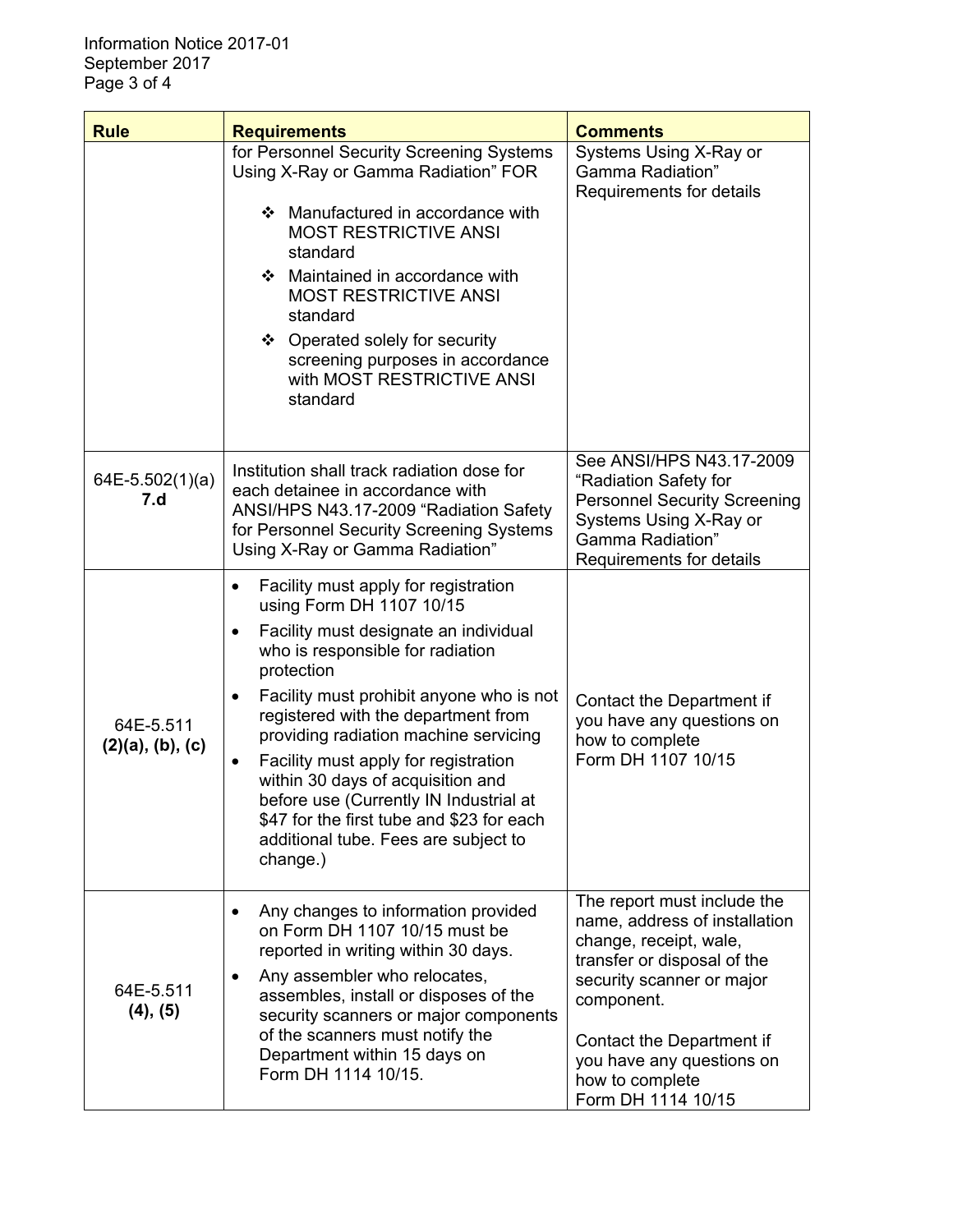| <b>Rule</b>                           | <b>Requirements</b>                                                                                                                                                                                                                                                                                                                                                                                                                                                                                                                                         | <b>Comments</b>                                                                                                                                                                                                                                                     |
|---------------------------------------|-------------------------------------------------------------------------------------------------------------------------------------------------------------------------------------------------------------------------------------------------------------------------------------------------------------------------------------------------------------------------------------------------------------------------------------------------------------------------------------------------------------------------------------------------------------|---------------------------------------------------------------------------------------------------------------------------------------------------------------------------------------------------------------------------------------------------------------------|
|                                       | for Personnel Security Screening Systems<br>Using X-Ray or Gamma Radiation" FOR<br>❖ Manufactured in accordance with<br><b>MOST RESTRICTIVE ANSI</b><br>standard<br>Maintained in accordance with<br>❖<br><b>MOST RESTRICTIVE ANSI</b><br>standard<br>❖ Operated solely for security<br>screening purposes in accordance<br>with MOST RESTRICTIVE ANSI<br>standard                                                                                                                                                                                          | Systems Using X-Ray or<br>Gamma Radiation"<br>Requirements for details                                                                                                                                                                                              |
| 64E-5.502(1)(a)<br>7.d                | Institution shall track radiation dose for<br>each detainee in accordance with<br>ANSI/HPS N43.17-2009 "Radiation Safety<br>for Personnel Security Screening Systems<br>Using X-Ray or Gamma Radiation"                                                                                                                                                                                                                                                                                                                                                     | See ANSI/HPS N43.17-2009<br>"Radiation Safety for<br><b>Personnel Security Screening</b><br>Systems Using X-Ray or<br>Gamma Radiation"<br>Requirements for details                                                                                                  |
| 64E-5.511<br>$(2)(a)$ , $(b)$ , $(c)$ | Facility must apply for registration<br>$\bullet$<br>using Form DH 1107 10/15<br>Facility must designate an individual<br>٠<br>who is responsible for radiation<br>protection<br>Facility must prohibit anyone who is not<br>$\bullet$<br>registered with the department from<br>providing radiation machine servicing<br>Facility must apply for registration<br>$\bullet$<br>within 30 days of acquisition and<br>before use (Currently IN Industrial at<br>\$47 for the first tube and \$23 for each<br>additional tube. Fees are subject to<br>change.) | Contact the Department if<br>you have any questions on<br>how to complete<br>Form DH 1107 10/15                                                                                                                                                                     |
| 64E-5.511<br>(4), (5)                 | Any changes to information provided<br>$\bullet$<br>on Form DH 1107 10/15 must be<br>reported in writing within 30 days.<br>Any assembler who relocates,<br>$\bullet$<br>assembles, install or disposes of the<br>security scanners or major components<br>of the scanners must notify the<br>Department within 15 days on<br>Form DH 1114 10/15.                                                                                                                                                                                                           | The report must include the<br>name, address of installation<br>change, receipt, wale,<br>transfer or disposal of the<br>security scanner or major<br>component.<br>Contact the Department if<br>you have any questions on<br>how to complete<br>Form DH 1114 10/15 |